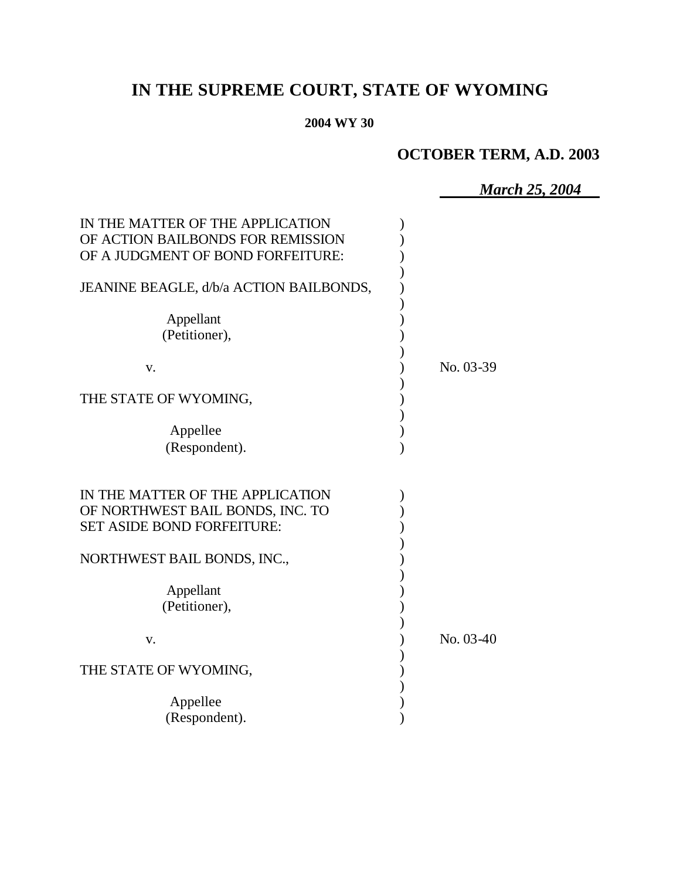# **IN THE SUPREME COURT, STATE OF WYOMING**

#### **2004 WY 30**

## **OCTOBER TERM, A.D. 2003**

*March 25, 2004*

| IN THE MATTER OF THE APPLICATION<br>OF ACTION BAILBONDS FOR REMISSION<br>OF A JUDGMENT OF BOND FORFEITURE: |             |
|------------------------------------------------------------------------------------------------------------|-------------|
| JEANINE BEAGLE, d/b/a ACTION BAILBONDS,                                                                    |             |
| Appellant<br>(Petitioner),                                                                                 |             |
| V.                                                                                                         | No. 03-39   |
| THE STATE OF WYOMING,                                                                                      |             |
| Appellee<br>(Respondent).                                                                                  |             |
| IN THE MATTER OF THE APPLICATION<br>OF NORTHWEST BAIL BONDS, INC. TO<br><b>SET ASIDE BOND FORFEITURE:</b>  |             |
| NORTHWEST BAIL BONDS, INC.,                                                                                |             |
| Appellant<br>(Petitioner),                                                                                 |             |
| V.                                                                                                         | $No. 03-40$ |
| THE STATE OF WYOMING,                                                                                      |             |
| Appellee<br>(Respondent).                                                                                  |             |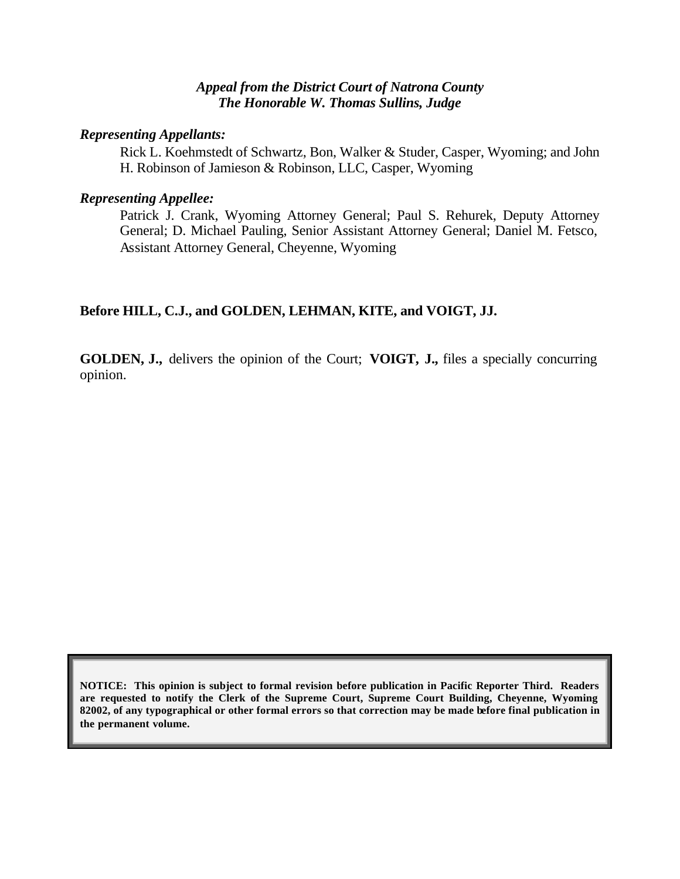#### *Appeal from the District Court of Natrona County The Honorable W. Thomas Sullins, Judge*

#### *Representing Appellants:*

Rick L. Koehmstedt of Schwartz, Bon, Walker & Studer, Casper, Wyoming; and John H. Robinson of Jamieson & Robinson, LLC, Casper, Wyoming

#### *Representing Appellee:*

Patrick J. Crank, Wyoming Attorney General; Paul S. Rehurek, Deputy Attorney General; D. Michael Pauling, Senior Assistant Attorney General; Daniel M. Fetsco, Assistant Attorney General, Cheyenne, Wyoming

#### **Before HILL, C.J., and GOLDEN, LEHMAN, KITE, and VOIGT, JJ.**

**GOLDEN, J.,** delivers the opinion of the Court; **VOIGT, J.,** files a specially concurring opinion.

**NOTICE: This opinion is subject to formal revision before publication in Pacific Reporter Third. Readers are requested to notify the Clerk of the Supreme Court, Supreme Court Building, Cheyenne, Wyoming 82002, of any typographical or other formal errors so that correction may be made before final publication in the permanent volume.**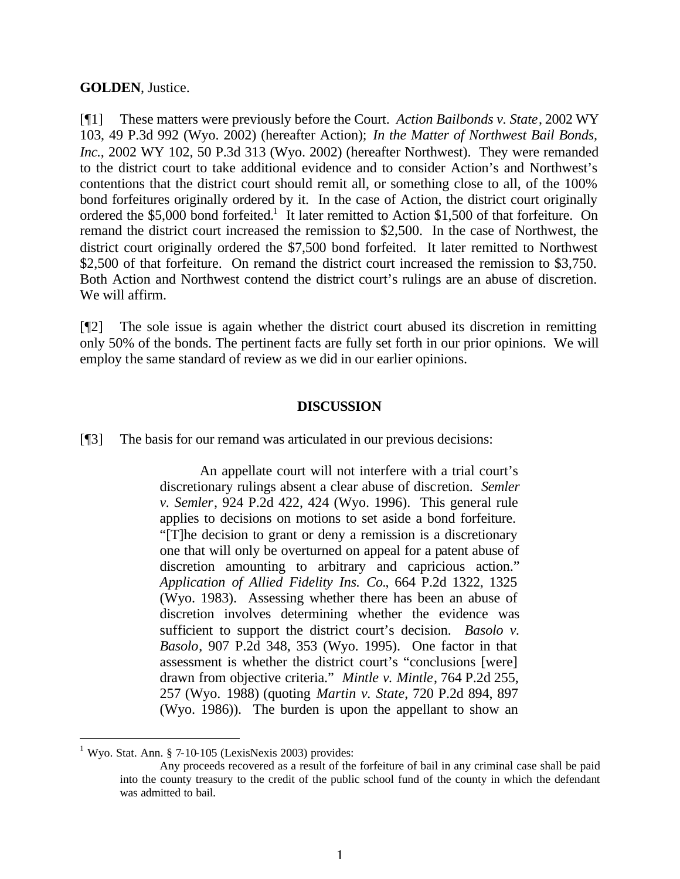#### **GOLDEN**, Justice.

[¶1] These matters were previously before the Court. *Action Bailbonds v. State*, 2002 WY 103, 49 P.3d 992 (Wyo. 2002) (hereafter Action); *In the Matter of Northwest Bail Bonds, Inc.*, 2002 WY 102, 50 P.3d 313 (Wyo. 2002) (hereafter Northwest). They were remanded to the district court to take additional evidence and to consider Action's and Northwest's contentions that the district court should remit all, or something close to all, of the 100% bond forfeitures originally ordered by it. In the case of Action, the district court originally ordered the \$5,000 bond forfeited.<sup>1</sup> It later remitted to Action \$1,500 of that forfeiture. On remand the district court increased the remission to \$2,500. In the case of Northwest, the district court originally ordered the \$7,500 bond forfeited. It later remitted to Northwest \$2,500 of that forfeiture. On remand the district court increased the remission to \$3,750. Both Action and Northwest contend the district court's rulings are an abuse of discretion. We will affirm.

[¶2] The sole issue is again whether the district court abused its discretion in remitting only 50% of the bonds. The pertinent facts are fully set forth in our prior opinions. We will employ the same standard of review as we did in our earlier opinions.

#### **DISCUSSION**

[¶3] The basis for our remand was articulated in our previous decisions:

An appellate court will not interfere with a trial court's discretionary rulings absent a clear abuse of discretion. *Semler v. Semler*, 924 P.2d 422, 424 (Wyo. 1996). This general rule applies to decisions on motions to set aside a bond forfeiture. "[T]he decision to grant or deny a remission is a discretionary one that will only be overturned on appeal for a patent abuse of discretion amounting to arbitrary and capricious action." *Application of Allied Fidelity Ins. Co.*, 664 P.2d 1322, 1325 (Wyo. 1983). Assessing whether there has been an abuse of discretion involves determining whether the evidence was sufficient to support the district court's decision. *Basolo v. Basolo*, 907 P.2d 348, 353 (Wyo. 1995). One factor in that assessment is whether the district court's "conclusions [were] drawn from objective criteria." *Mintle v. Mintle*, 764 P.2d 255, 257 (Wyo. 1988) (quoting *Martin v. State*, 720 P.2d 894, 897 (Wyo. 1986)). The burden is upon the appellant to show an

l

 $1$  Wyo. Stat. Ann. § 7-10-105 (LexisNexis 2003) provides:

Any proceeds recovered as a result of the forfeiture of bail in any criminal case shall be paid into the county treasury to the credit of the public school fund of the county in which the defendant was admitted to bail.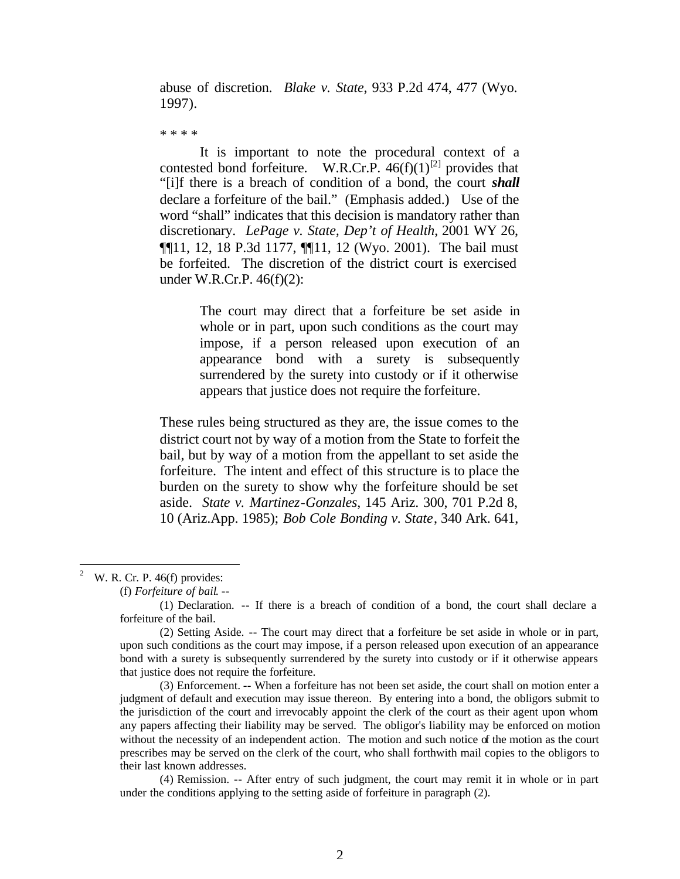abuse of discretion. *Blake v. State*, 933 P.2d 474, 477 (Wyo. 1997).

\* \* \* \*

It is important to note the procedural context of a contested bond forfeiture. W.R.Cr.P.  $46(f)(1)^{[2]}$  provides that "[i]f there is a breach of condition of a bond, the court *shall* declare a forfeiture of the bail." (Emphasis added.) Use of the word "shall" indicates that this decision is mandatory rather than discretionary. *LePage v. State, Dep't of Health*, 2001 WY 26, ¶¶11, 12, 18 P.3d 1177, ¶¶11, 12 (Wyo. 2001). The bail must be forfeited. The discretion of the district court is exercised under W.R.Cr.P. 46(f)(2):

> The court may direct that a forfeiture be set aside in whole or in part, upon such conditions as the court may impose, if a person released upon execution of an appearance bond with a surety is subsequently surrendered by the surety into custody or if it otherwise appears that justice does not require the forfeiture.

These rules being structured as they are, the issue comes to the district court not by way of a motion from the State to forfeit the bail, but by way of a motion from the appellant to set aside the forfeiture. The intent and effect of this structure is to place the burden on the surety to show why the forfeiture should be set aside. *State v. Martinez-Gonzales*, 145 Ariz. 300, 701 P.2d 8, 10 (Ariz.App. 1985); *Bob Cole Bonding v. State*, 340 Ark. 641,

 $\frac{1}{2}$ W. R. Cr. P. 46(f) provides:

(f) *Forfeiture of bail*. --

<sup>(1)</sup> Declaration. -- If there is a breach of condition of a bond, the court shall declare a forfeiture of the bail.

<sup>(2)</sup> Setting Aside. -- The court may direct that a forfeiture be set aside in whole or in part, upon such conditions as the court may impose, if a person released upon execution of an appearance bond with a surety is subsequently surrendered by the surety into custody or if it otherwise appears that justice does not require the forfeiture.

<sup>(3)</sup> Enforcement. -- When a forfeiture has not been set aside, the court shall on motion enter a judgment of default and execution may issue thereon. By entering into a bond, the obligors submit to the jurisdiction of the court and irrevocably appoint the clerk of the court as their agent upon whom any papers affecting their liability may be served. The obligor's liability may be enforced on motion without the necessity of an independent action. The motion and such notice of the motion as the court prescribes may be served on the clerk of the court, who shall forthwith mail copies to the obligors to their last known addresses.

<sup>(4)</sup> Remission. -- After entry of such judgment, the court may remit it in whole or in part under the conditions applying to the setting aside of forfeiture in paragraph (2).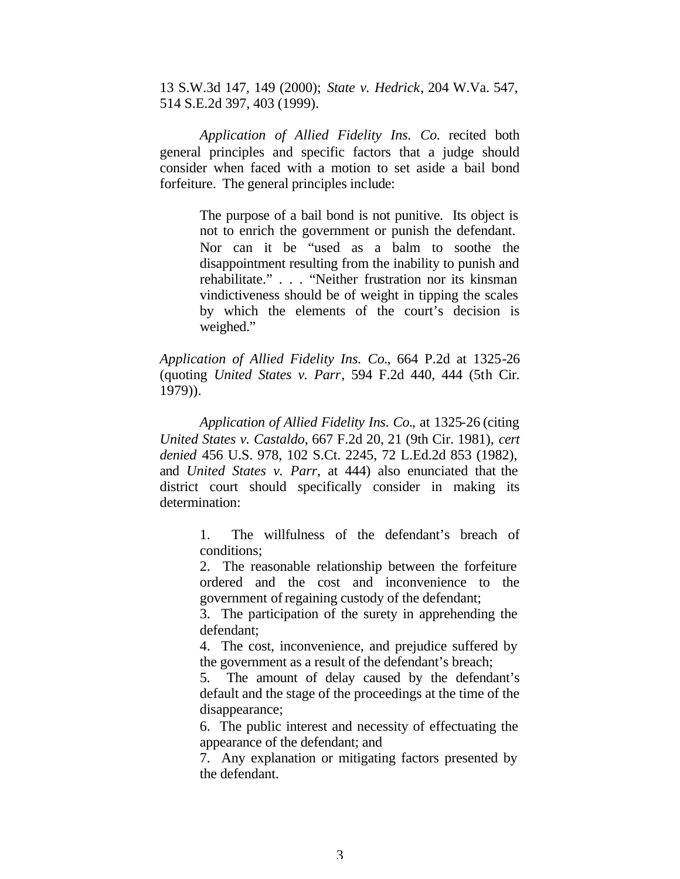13 S.W.3d 147, 149 (2000); *State v. Hedrick*, 204 W.Va. 547, 514 S.E.2d 397, 403 (1999).

*Application of Allied Fidelity Ins. Co.* recited both general principles and specific factors that a judge should consider when faced with a motion to set aside a bail bond forfeiture. The general principles include:

> The purpose of a bail bond is not punitive. Its object is not to enrich the government or punish the defendant. Nor can it be "used as a balm to soothe the disappointment resulting from the inability to punish and rehabilitate." . . . "Neither frustration nor its kinsman vindictiveness should be of weight in tipping the scales by which the elements of the court's decision is weighed."

*Application of Allied Fidelity Ins. Co.*, 664 P.2d at 1325-26 (quoting *United States v. Parr*, 594 F.2d 440, 444 (5th Cir. 1979)).

*Application of Allied Fidelity Ins. Co.*, at 1325-26 (citing *United States v. Castaldo*, 667 F.2d 20, 21 (9th Cir. 1981), *cert denied* 456 U.S. 978, 102 S.Ct. 2245, 72 L.Ed.2d 853 (1982), and *United States v. Parr*, at 444) also enunciated that the district court should specifically consider in making its determination:

> 1. The willfulness of the defendant's breach of conditions;

> 2. The reasonable relationship between the forfeiture ordered and the cost and inconvenience to the government of regaining custody of the defendant;

> 3. The participation of the surety in apprehending the defendant;

> 4. The cost, inconvenience, and prejudice suffered by the government as a result of the defendant's breach;

> 5. The amount of delay caused by the defendant's default and the stage of the proceedings at the time of the disappearance;

> 6. The public interest and necessity of effectuating the appearance of the defendant; and

> 7. Any explanation or mitigating factors presented by the defendant.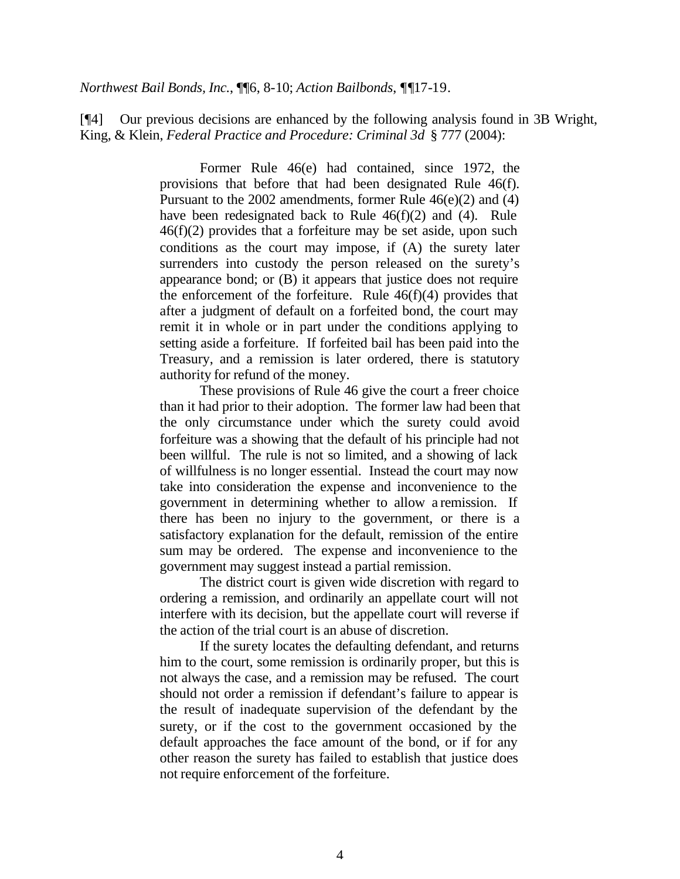*Northwest Bail Bonds, Inc.*, ¶¶6, 8-10; *Action Bailbonds*, *¶¶*17-19.

[¶4] Our previous decisions are enhanced by the following analysis found in 3B Wright, King, & Klein, *Federal Practice and Procedure: Criminal 3d* § 777 (2004):

> Former Rule 46(e) had contained, since 1972, the provisions that before that had been designated Rule 46(f). Pursuant to the 2002 amendments, former Rule 46(e)(2) and (4) have been redesignated back to Rule 46(f)(2) and (4). Rule 46(f)(2) provides that a forfeiture may be set aside, upon such conditions as the court may impose, if (A) the surety later surrenders into custody the person released on the surety's appearance bond; or (B) it appears that justice does not require the enforcement of the forfeiture. Rule  $46(f)(4)$  provides that after a judgment of default on a forfeited bond, the court may remit it in whole or in part under the conditions applying to setting aside a forfeiture. If forfeited bail has been paid into the Treasury, and a remission is later ordered, there is statutory authority for refund of the money.

> These provisions of Rule 46 give the court a freer choice than it had prior to their adoption. The former law had been that the only circumstance under which the surety could avoid forfeiture was a showing that the default of his principle had not been willful. The rule is not so limited, and a showing of lack of willfulness is no longer essential. Instead the court may now take into consideration the expense and inconvenience to the government in determining whether to allow a remission. If there has been no injury to the government, or there is a satisfactory explanation for the default, remission of the entire sum may be ordered. The expense and inconvenience to the government may suggest instead a partial remission.

> The district court is given wide discretion with regard to ordering a remission, and ordinarily an appellate court will not interfere with its decision, but the appellate court will reverse if the action of the trial court is an abuse of discretion.

> If the surety locates the defaulting defendant, and returns him to the court, some remission is ordinarily proper, but this is not always the case, and a remission may be refused. The court should not order a remission if defendant's failure to appear is the result of inadequate supervision of the defendant by the surety, or if the cost to the government occasioned by the default approaches the face amount of the bond, or if for any other reason the surety has failed to establish that justice does not require enforcement of the forfeiture.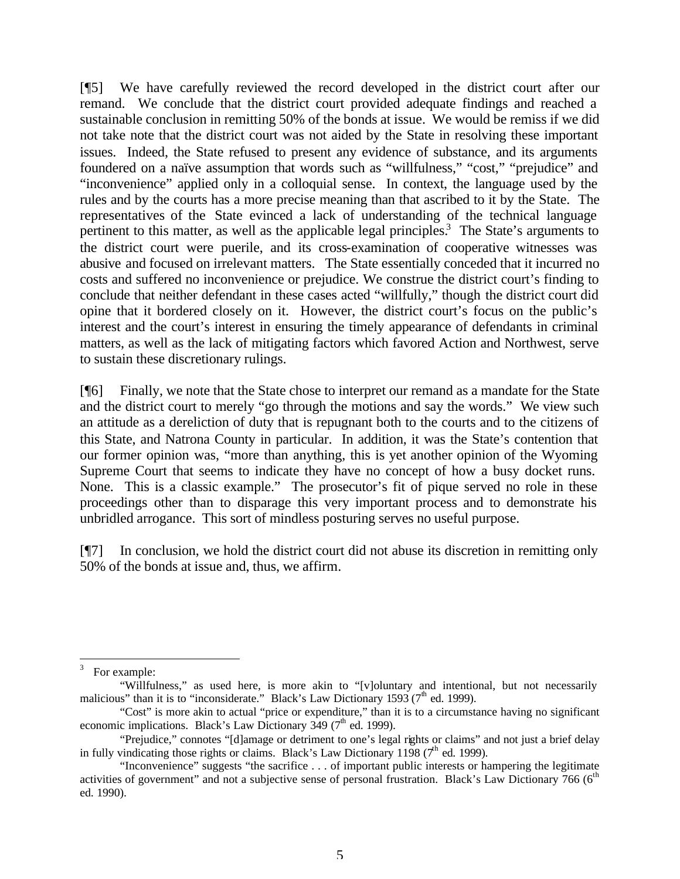[¶5] We have carefully reviewed the record developed in the district court after our remand. We conclude that the district court provided adequate findings and reached a sustainable conclusion in remitting 50% of the bonds at issue. We would be remiss if we did not take note that the district court was not aided by the State in resolving these important issues. Indeed, the State refused to present any evidence of substance, and its arguments foundered on a naïve assumption that words such as "willfulness," "cost," "prejudice" and "inconvenience" applied only in a colloquial sense. In context, the language used by the rules and by the courts has a more precise meaning than that ascribed to it by the State. The representatives of the State evinced a lack of understanding of the technical language pertinent to this matter, as well as the applicable legal principles.<sup>3</sup> The State's arguments to the district court were puerile, and its cross-examination of cooperative witnesses was abusive and focused on irrelevant matters. The State essentially conceded that it incurred no costs and suffered no inconvenience or prejudice. We construe the district court's finding to conclude that neither defendant in these cases acted "willfully," though the district court did opine that it bordered closely on it. However, the district court's focus on the public's interest and the court's interest in ensuring the timely appearance of defendants in criminal matters, as well as the lack of mitigating factors which favored Action and Northwest, serve to sustain these discretionary rulings.

[¶6] Finally, we note that the State chose to interpret our remand as a mandate for the State and the district court to merely "go through the motions and say the words." We view such an attitude as a dereliction of duty that is repugnant both to the courts and to the citizens of this State, and Natrona County in particular. In addition, it was the State's contention that our former opinion was, "more than anything, this is yet another opinion of the Wyoming Supreme Court that seems to indicate they have no concept of how a busy docket runs. None. This is a classic example." The prosecutor's fit of pique served no role in these proceedings other than to disparage this very important process and to demonstrate his unbridled arrogance. This sort of mindless posturing serves no useful purpose.

[¶7] In conclusion, we hold the district court did not abuse its discretion in remitting only 50% of the bonds at issue and, thus, we affirm.

l 3 For example:

<sup>&</sup>quot;Willfulness," as used here, is more akin to "[v]oluntary and intentional, but not necessarily malicious" than it is to "inconsiderate." Black's Law Dictionary 1593 ( $7<sup>th</sup>$  ed. 1999).

<sup>&</sup>quot;Cost" is more akin to actual "price or expenditure," than it is to a circumstance having no significant economic implications. Black's Law Dictionary 349 ( $7<sup>th</sup>$  ed. 1999).

<sup>&</sup>quot;Prejudice," connotes "[d]amage or detriment to one's legal rights or claims" and not just a brief delay in fully vindicating those rights or claims. Black's Law Dictionary 1198 ( $7<sup>th</sup>$  ed. 1999).

<sup>&</sup>quot;Inconvenience" suggests "the sacrifice . . . of important public interests or hampering the legitimate activities of government" and not a subjective sense of personal frustration. Black's Law Dictionary 766 (6<sup>th</sup>) ed. 1990).